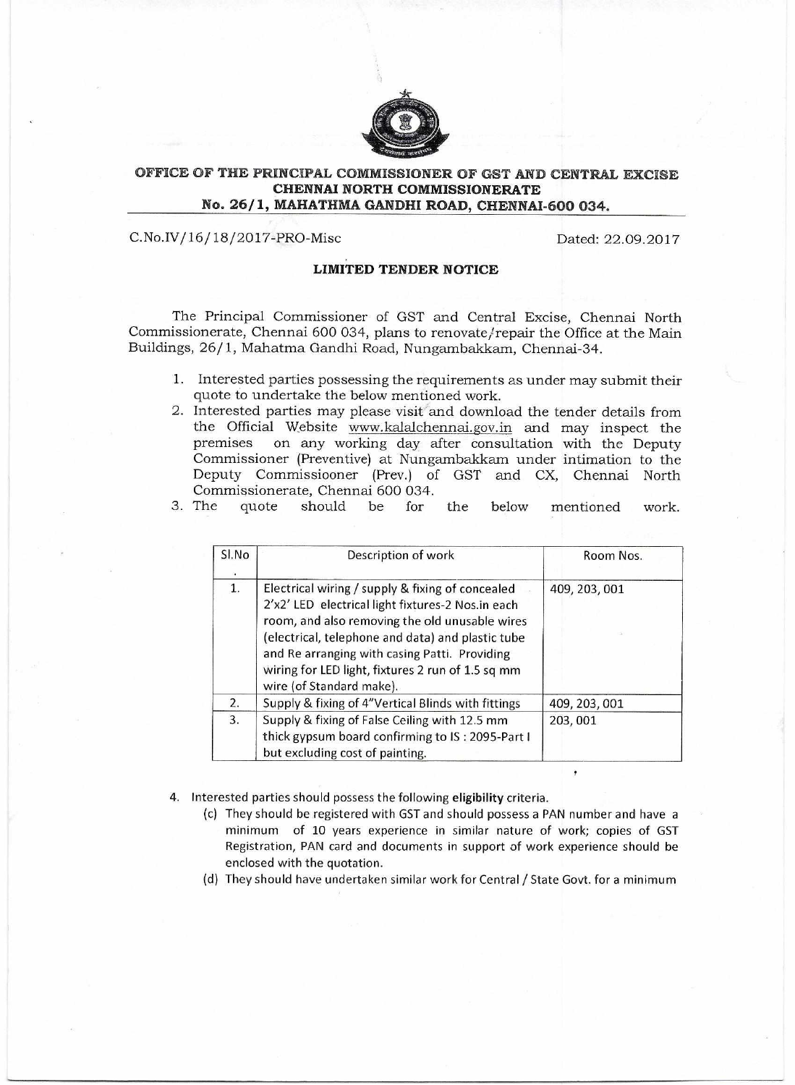

## **OFFICE OF THE PRINCIPAL COMMISSIONER OF GST AND CENTRAL EXCISE CHENNAI NORTH COMMISSIONERATE No. 26/1, MAHATHMA GANDHI ROAD, CHENNAI-600 034.**

C.No.IV/16/18/2017-PRO-Misc Dated: 22.09.2017

## **LIMITED TENDER NOTICE**

The Principal Commissioner of GST and Central Excise, Chennai North Commissionerate, Chennai 600 034, plans to renovate/repair the Office at the Main Buildings, 26/1, Mahatma Gandhi Road, Nungambakkam, Chennai-34.

- 1. Interested parties possessing the requirements as under may submit their quote to undertake the below mentioned work.
- 2. Interested parties may please visit and download the tender details from the Official Website www.kalalchennai.gov.in and may inspect the premises on any working day after consultation with the Deputy on any working day after consultation with the Deputy Commissioner (Preventive) at Nungambakkam under intimation to the Deputy Commissiooner (Prey.) of GST and CX, Chennai North Commissionerate, Chennai 600 034.

|  |  |  |  | 3. The quote should be for the below mentioned work. |  |
|--|--|--|--|------------------------------------------------------|--|
|  |  |  |  |                                                      |  |

| Sl.No | Description of work                                                                                                                                                                                                                                                                                                                            | Room Nos.     |
|-------|------------------------------------------------------------------------------------------------------------------------------------------------------------------------------------------------------------------------------------------------------------------------------------------------------------------------------------------------|---------------|
| 1.    | Electrical wiring / supply & fixing of concealed<br>2'x2' LED electrical light fixtures-2 Nos.in each<br>room, and also removing the old unusable wires<br>(electrical, telephone and data) and plastic tube<br>and Re arranging with casing Patti. Providing<br>wiring for LED light, fixtures 2 run of 1.5 sq mm<br>wire (of Standard make). | 409, 203, 001 |
| 2.    | Supply & fixing of 4"Vertical Blinds with fittings                                                                                                                                                                                                                                                                                             | 409, 203, 001 |
| 3.    | Supply & fixing of False Ceiling with 12.5 mm<br>thick gypsum board confirming to IS: 2095-Part I<br>but excluding cost of painting.                                                                                                                                                                                                           | 203,001       |

- 4. Interested parties should possess the following **eligibility** criteria.
	- (c) They should be registered with GST and should possess a PAN number and have a minimum of 10 years experience in similar nature of work; copies of GST Registration, PAN card and documents in support of work experience should be enclosed with the quotation.
	- (d) They should have undertaken similar work for Central / State Govt. for a minimum